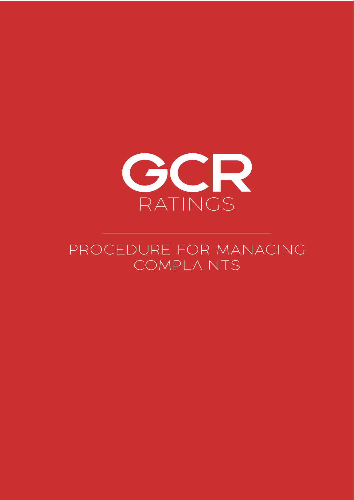

# PROCEDURE FOR MANAGING COMPLAINTS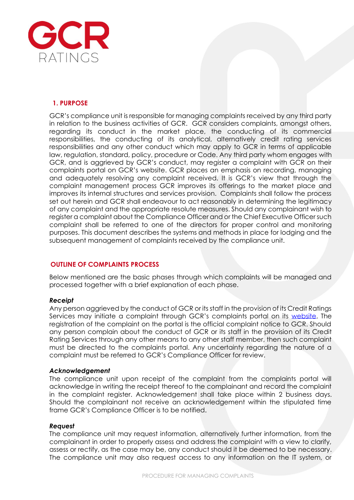

## **1. PURPOSE**

GCR's compliance unit is responsible for managing complaints received by any third party in relation to the business activities of GCR. GCR considers complaints, amongst others, regarding its conduct in the market place, the conducting of its commercial responsibilities, the conducting of its analytical, alternatively credit rating services responsibilities and any other conduct which may apply to GCR in terms of applicable law, regulation, standard, policy, procedure or Code. Any third party whom engages with GCR, and is aggrieved by GCR's conduct, may register a complaint with GCR on their complaints portal on GCR's website. GCR places an emphasis on recording, managing and adequately resolving any complaint received. It is GCR's view that through the complaint management process GCR improves its offerings to the market place and improves its internal structures and services provision. Complaints shall follow the process set out herein and GCR shall endeavour to act reasonably in determining the legitimacy of any complaint and the appropriate resolute measures. Should any complainant wish to register a complaint about the Compliance Officer and or the Chief Executive Officer such complaint shall be referred to one of the directors for proper control and monitoring purposes. This document describes the systems and methods in place for lodging and the subsequent management of complaints received by the compliance unit.

# **OUTLINE OF COMPLAINTS PROCESS**

Below mentioned are the basic phases through which complaints will be managed and processed together with a brief explanation of each phase.

#### *Receipt*

Any person aggrieved by the conduct of GCR or its staff in the provision of its Credit Ratings Services may initiate a complaint through GCR's complaints portal on its [website.](https://globalratings.net/contact-us) The registration of the complaint on the portal is the official complaint notice to GCR. Should any person complain about the conduct of GCR or its staff in the provision of its Credit Rating Services through any other means to any other staff member, then such complaint must be directed to the complaints portal. Any uncertainty regarding the nature of a complaint must be referred to GCR's Compliance Officer for review.

#### *Acknowledgement*

The compliance unit upon receipt of the complaint from the complaints portal will acknowledge in writing the receipt thereof to the complainant and record the complaint in the complaint register. Acknowledgement shall take place within 2 business days. Should the complainant not receive an acknowledgement within the stipulated time frame GCR's Compliance Officer is to be notified.

#### *Request*

The compliance unit may request information, alternatively further information, from the complainant in order to properly assess and address the complaint with a view to clarify, assess or rectify, as the case may be, any conduct should it be deemed to be necessary. The compliance unit may also request access to any information on the IT system, or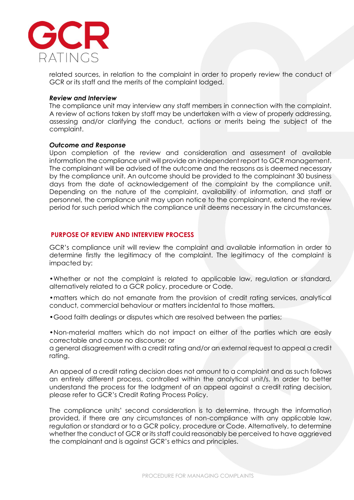

related sources, in relation to the complaint in order to properly review the conduct of GCR or its staff and the merits of the complaint lodged.

#### *Review and Interview*

The compliance unit may interview any staff members in connection with the complaint. A review of actions taken by staff may be undertaken with a view of properly addressing, assessing and/or clarifying the conduct, actions or merits being the subject of the complaint.

#### *Outcome and Response*

Upon completion of the review and consideration and assessment of available information the compliance unit will provide an independent report to GCR management. The complainant will be advised of the outcome and the reasons as is deemed necessary by the compliance unit. An outcome should be provided to the complainant 30 business days from the date of acknowledgement of the complaint by the compliance unit. Depending on the nature of the complaint, availability of information, and staff or personnel, the compliance unit may upon notice to the complainant, extend the review period for such period which the compliance unit deems necessary in the circumstances.

#### **PURPOSE OF REVIEW AND INTERVIEW PROCESS**

GCR's compliance unit will review the complaint and available information in order to determine firstly the legitimacy of the complaint. The legitimacy of the complaint is impacted by:

- •Whether or not the complaint is related to applicable law, regulation or standard, alternatively related to a GCR policy, procedure or Code.
- •matters which do not emanate from the provision of credit rating services, analytical conduct, commercial behaviour or matters incidental to those matters.
- •Good faith dealings or disputes which are resolved between the parties;

•Non-material matters which do not impact on either of the parties which are easily correctable and cause no discourse; or

a general disagreement with a credit rating and/or an external request to appeal a credit rating.

An appeal of a credit rating decision does not amount to a complaint and as such follows an entirely different process, controlled within the analytical unit/s. In order to better understand the process for the lodgment of an appeal against a credit rating decision, please refer to GCR's Credit Rating Process Policy.

The compliance units' second consideration is to determine, through the information provided, if there are any circumstances of non-compliance with any applicable law, regulation or standard or to a GCR policy, procedure or Code. Alternatively, to determine whether the conduct of GCR or its staff could reasonably be perceived to have aggrieved the complainant and is against GCR's ethics and principles.